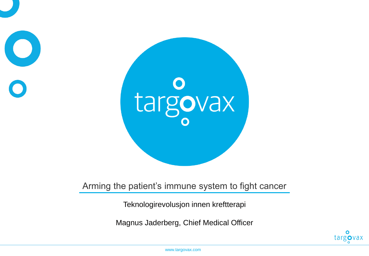

#### Arming the patient's immune system to fight cancer

Teknologirevolusjon innen kreftterapi

Magnus Jaderberg, Chief Medical Officer

 $\bullet$ targovax

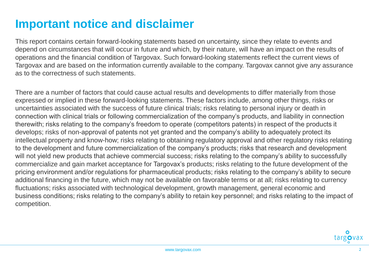## **Important notice and disclaimer**

This report contains certain forward-looking statements based on uncertainty, since they relate to events and depend on circumstances that will occur in future and which, by their nature, will have an impact on the results of operations and the financial condition of Targovax. Such forward-looking statements reflect the current views of Targovax and are based on the information currently available to the company. Targovax cannot give any assurance as to the correctness of such statements.

There are a number of factors that could cause actual results and developments to differ materially from those expressed or implied in these forward-looking statements. These factors include, among other things, risks or uncertainties associated with the success of future clinical trials; risks relating to personal injury or death in connection with clinical trials or following commercialization of the company's products, and liability in connection therewith; risks relating to the company's freedom to operate (competitors patents) in respect of the products it develops; risks of non-approval of patents not yet granted and the company's ability to adequately protect its intellectual property and know-how; risks relating to obtaining regulatory approval and other regulatory risks relating to the development and future commercialization of the company's products; risks that research and development will not yield new products that achieve commercial success; risks relating to the company's ability to successfully commercialize and gain market acceptance for Targovax's products; risks relating to the future development of the pricing environment and/or regulations for pharmaceutical products; risks relating to the company's ability to secure additional financing in the future, which may not be available on favorable terms or at all; risks relating to currency fluctuations; risks associated with technological development, growth management, general economic and business conditions; risks relating to the company's ability to retain key personnel; and risks relating to the impact of competition.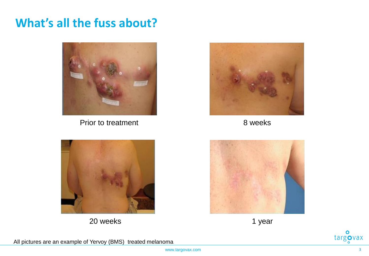## **What's all the fuss about?**



Prior to treatment 8 weeks





20 weeks and the set of the set of the set of the set of the set of the set of the set of the set of the set of the set of the set of the set of the set of the set of the set of the set of the set of the set of the set of







All pictures are an example of Yervoy (BMS) treated melanoma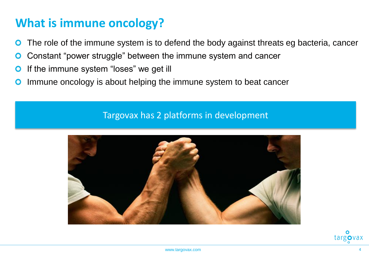# **What is immune oncology?**

- The role of the immune system is to defend the body against threats eg bacteria, cancer
- Constant "power struggle" between the immune system and cancer  $\mathbf O$
- If the immune system "loses" we get ill  $\mathbf{O}$
- Immune oncology is about helping the immune system to beat cancer  $\mathbf O$

#### Targovax has 2 platforms in development



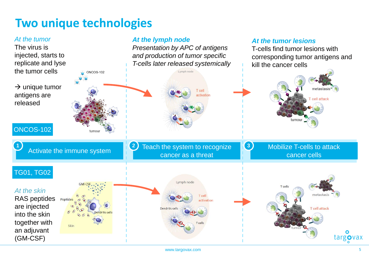## **Two unique technologies**

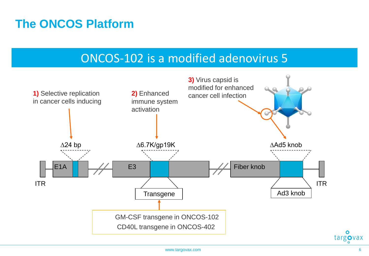#### **The ONCOS Platform**

#### ONCOS-102 is a modified adenovirus 5

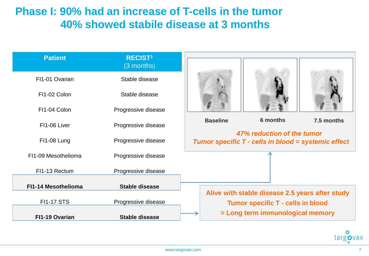#### **Phase I: 90% had an increase of T-cells in the tumor 40% showed stabile disease at 3 months**

| <b>Patient</b>      | <b>RECIST1</b><br>(3 months)                 |                                                                                                                                 |                                                     |  |  |  |
|---------------------|----------------------------------------------|---------------------------------------------------------------------------------------------------------------------------------|-----------------------------------------------------|--|--|--|
| FI1-01 Ovarian      | Stable disease                               |                                                                                                                                 |                                                     |  |  |  |
| FI1-02 Colon        | Stable disease                               |                                                                                                                                 |                                                     |  |  |  |
| FI1-04 Colon        | Progressive disease                          |                                                                                                                                 |                                                     |  |  |  |
| FI1-06 Liver        | Progressive disease                          | 6 months<br><b>Baseline</b><br>7.5 months<br>47% reduction of the tumor                                                         |                                                     |  |  |  |
| FI1-08 Lung         | Progressive disease                          |                                                                                                                                 | Tumor specific T - cells in blood = systemic effect |  |  |  |
| FI1-09 Mesothelioma | Progressive disease                          |                                                                                                                                 |                                                     |  |  |  |
| FI1-13 Rectum       | Progressive disease                          |                                                                                                                                 |                                                     |  |  |  |
| FI1-14 Mesothelioma | <b>Stable disease</b>                        |                                                                                                                                 |                                                     |  |  |  |
| <b>FI1-17 STS</b>   |                                              | Alive with stable disease 2.5 years after study<br><b>Tumor specific T - cells in blood</b><br>= Long term immunological memory |                                                     |  |  |  |
| FI1-19 Ovarian      | Progressive disease<br><b>Stable disease</b> |                                                                                                                                 |                                                     |  |  |  |

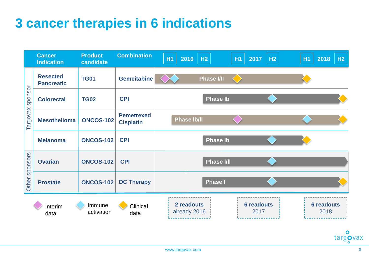# **3 cancer therapies in 6 indications**

|                     | <b>Cancer</b><br><b>Indication</b>   | <b>Product</b><br>candidate | <b>Combination</b>                    | <b>H1</b> | 2016   H <sub>2</sub>      |                   | H1 | $2017$ H <sub>2</sub>     | <b>H1</b> | $2018$ H <sub>2</sub>     |
|---------------------|--------------------------------------|-----------------------------|---------------------------------------|-----------|----------------------------|-------------------|----|---------------------------|-----------|---------------------------|
| sponsor<br>Targovax | <b>Resected</b><br><b>Pancreatic</b> | <b>TG01</b>                 | <b>Gemcitabine</b>                    |           |                            | <b>Phase I/II</b> |    |                           |           |                           |
|                     | <b>Colorectal</b>                    | <b>TG02</b>                 | <b>CPI</b>                            |           |                            | <b>Phase Ib</b>   |    |                           |           |                           |
|                     | <b>Mesothelioma</b>                  | <b>ONCOS-102</b>            | <b>Pemetrexed</b><br><b>Cisplatin</b> |           | <b>Phase Ib/II</b>         |                   |    |                           |           |                           |
|                     | <b>Melanoma</b>                      | <b>ONCOS-102</b>            | <b>CPI</b>                            |           |                            | <b>Phase Ib</b>   |    |                           |           |                           |
| sponsors<br>Other   | <b>Ovarian</b>                       | <b>ONCOS-102</b>            | <b>CPI</b>                            |           |                            | <b>Phase I/II</b> |    |                           |           |                           |
|                     | <b>Prostate</b>                      | <b>ONCOS-102</b>            | <b>DC Therapy</b>                     |           |                            | <b>Phase I</b>    |    |                           |           |                           |
|                     | Interim<br>data                      | Immune<br>activation        | Clinical<br>data                      |           | 2 readouts<br>already 2016 |                   |    | <b>6 readouts</b><br>2017 |           | <b>6 readouts</b><br>2018 |

 $\bullet$ targovax